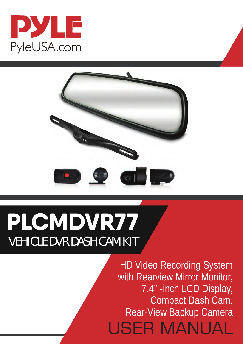



# PLCMDVR77 VEHICLE DVR DASH CAM KIT

HD Video Recording System with Rearview Mirror Monitor, 7.4'' -inch LCD Display, Compact Dash Cam, Rear-View Backup Camera**USER MANUAL**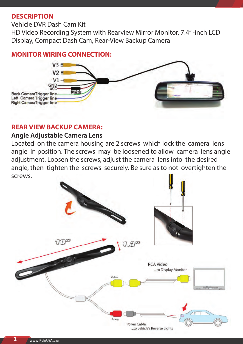#### **DESCRIPTION**

Vehicle DVR Dash Cam Kit

HD Video Recording System with Rearview Mirror Monitor, 7.4'' -inch LCD Display, Compact Dash Cam, Rear-View Backup Camera

#### **MONITOR WIRING CONNECTION:**



#### **REAR VIEW BACKUP CAMERA:**

#### **Angle Adjustable Camera Lens**

Located on the camera housing are 2 screws which lock the camera lens angle in position. The screws may be loosened to allow camera lens angle adjustment. Loosen the screws, adjust the camera lens into the desired angle, then tighten the screws securely. Be sure as to not overtighten the screws.

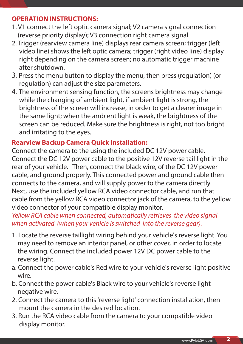#### **OPERATION INSTRUCTIONS:**

- 1. V1 connect the left optic camera signal; V2 camera signal connection (reverse priority display); V3 connection right camera signal.
- 2. Trigger (rearview camera line) displays rear camera screen; trigger (left video line) shows the left optic camera; trigger (right video line) display right depending on the camera screen; no automatic trigger machine after shutdown.
- 3. Press the menu button to display the menu, then press (regulation) (or regulation) can adjust the size parameters.
- 4. The environment sensing function, the screens brightness may change while the changing of ambient light, if ambient light is strong, the brightness of the screen will increase, in order to get a clearer image in the same light; when the ambient light is weak, the brightness of the screen can be reduced. Make sure the brightness is right, not too bright and irritating to the eyes.

## **Rearview Backup Camera Quick Installation:**

Connect the camera to the using the included DC 12V power cable. Connect the DC 12V power cable to the positive 12V reverse tail light in the rear of your vehicle. Then, connect the black wire, of the DC 12V power cable, and ground properly. This connected power and ground cable then connects to the camera, and will supply power to the camera directly. Next, use the included yellow RCA video connector cable, and run that cable from the yellow RCA video connector jack of the camera, to the yellow video connector of your compatible display monitor.

*Yellow RCA cable when connected, automatically retrieves the video signal when activated (when your vehicle is switched into the reverse gear).*

- 1. Locate the reverse taillight wiring behind your vehicle's reverse light. You may need to remove an interior panel, or other cover, in order to locate the wiring. Connect the included power 12V DC power cable to the reverse light.
- a. Connect the power cable's Red wire to your vehicle's reverse light positive wire.
- b. Connect the power cable's Black wire to your vehicle's reverse light negative wire.
- 2. Connect the camera to this 'reverse light' connection installation, then mount the camera in the desired location.
- 3. Run the RCA video cable from the camera to your compatible video display monitor.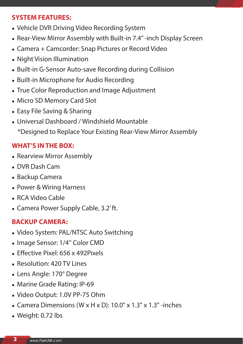### **SYSTEM FEATURES:**

- Vehicle DVR Driving Video Recording System
- Rear-View Mirror Assembly with Built-in 7.4" -inch Display Screen
- Camera + Camcorder: Snap Pictures or Record Video
- Night Vision Illumination
- Built-in G-Sensor Auto-save Recording during Collision
- Built-in Microphone for Audio Recording
- True Color Reproduction and Image Adjustment
- Micro SD Memory Card Slot
- Easy File Saving & Sharing
- Universal Dashboard / Windshield Mountable \*Designed to Replace Your Existing Rear-View Mirror Assembly

## **WHAT'S IN THE BOX:**

- Rearview Mirror Assembly
- DVR Dash Cam
- Backup Camera
- Power & Wiring Harness
- RCA Video Cable
- Camera Power Supply Cable, 3.2' ft.

## **BACKUP CAMERA:**

- Video System: PAL/NTSC Auto Switching
- Image Sensor: 1/4" Color CMD
- Effective Pixel:  $656 \times 492$ Pixels
- Resolution: 420 TV Lines
- Lens Angle: 170° Degree
- Marine Grade Rating: IP-69
- Video Output: 1.0V PP-75 Ohm
- Camera Dimensions (W x H x D):  $10.0"$  x  $1.3"$  x  $1.3"$  -inches
- Weight: 0.72 lbs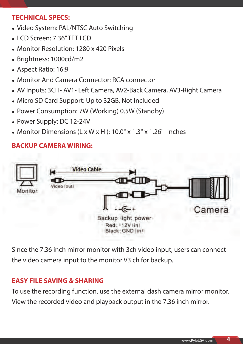## **TECHNICAL SPECS:**

- Video System: PAL/NTSC Auto Switching
- LCD Screen: 7.36" TFT LCD
- Monitor Resolution: 1280 x 420 Pixels
- Brightness: 1000cd/m2
- Aspect Ratio: 16:9
- Monitor And Camera Connector: RCA connector
- AV Inputs: 3CH- AV1- Left Camera, AV2-Back Camera, AV3-Right Camera
- Micro SD Card Support: Up to 32GB, Not Included
- Power Consumption: 7W (Working) 0.5W (Standby)
- Power Supply: DC 12-24V
- Monitor Dimensions  $(L \times W \times H)$ : 10.0" x 1.3" x 1.26" -inches

### **BACKUP CAMERA WIRING:**



Since the 7.36 inch mirror monitor with 3ch video input, users can connect the video camera input to the monitor V3 ch for backup.

## **EASY FILE SAVING & SHARING**

To use the recording function, use the external dash camera mirror monitor. View the recorded video and playback output in the 7.36 inch mirror.